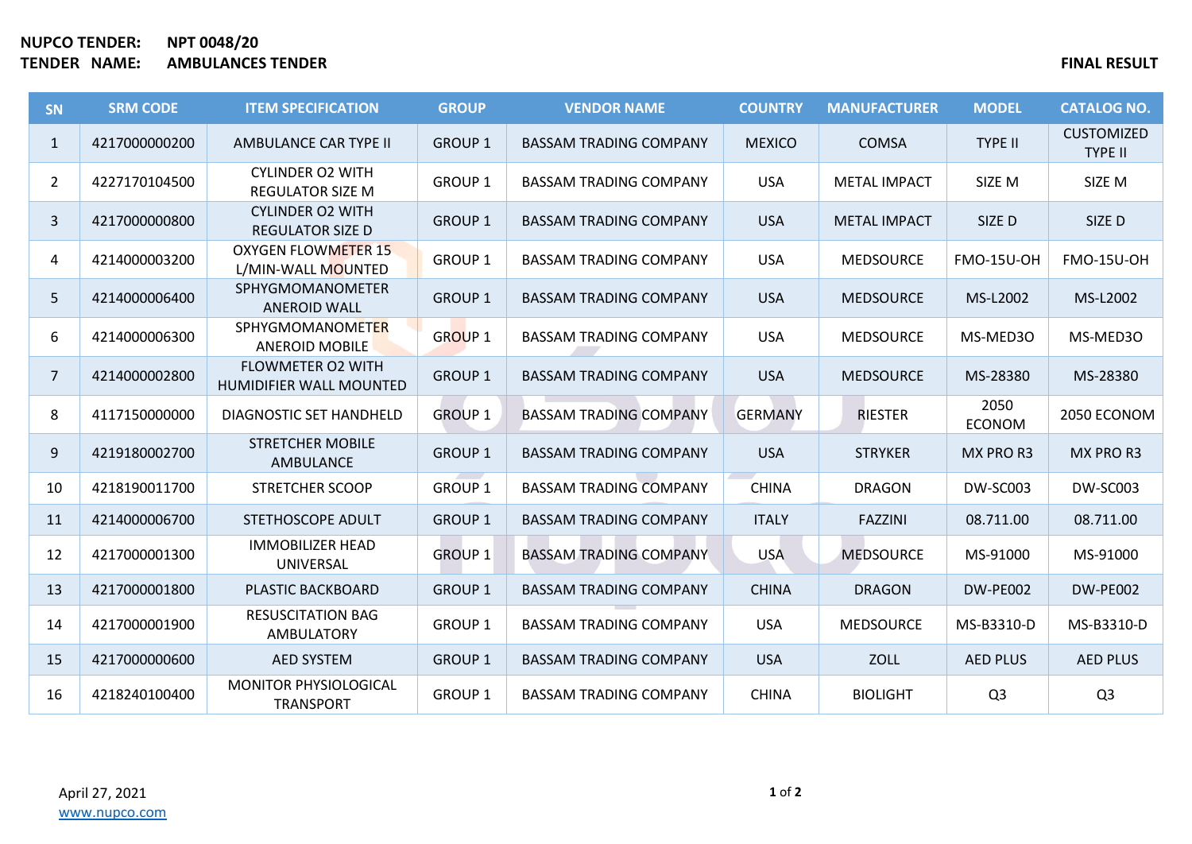## **NUPCO TENDER: NPT 0048/20 TENDER NAME: AMBULANCES TENDER FINAL RESULT**

| <b>SN</b>      | <b>SRM CODE</b> | <b>ITEM SPECIFICATION</b>                           | <b>GROUP</b>   | <b>VENDOR NAME</b>            | <b>COUNTRY</b> | <b>MANUFACTURER</b> | <b>MODEL</b>          | <b>CATALOG NO.</b>                  |
|----------------|-----------------|-----------------------------------------------------|----------------|-------------------------------|----------------|---------------------|-----------------------|-------------------------------------|
| $\mathbf{1}$   | 4217000000200   | AMBULANCE CAR TYPE II                               | <b>GROUP 1</b> | <b>BASSAM TRADING COMPANY</b> | <b>MEXICO</b>  | <b>COMSA</b>        | <b>TYPE II</b>        | <b>CUSTOMIZED</b><br><b>TYPE II</b> |
| $\overline{2}$ | 4227170104500   | <b>CYLINDER O2 WITH</b><br><b>REGULATOR SIZE M</b>  | <b>GROUP 1</b> | <b>BASSAM TRADING COMPANY</b> | <b>USA</b>     | <b>METAL IMPACT</b> | SIZE M                | SIZE M                              |
| 3              | 4217000000800   | <b>CYLINDER O2 WITH</b><br><b>REGULATOR SIZE D</b>  | <b>GROUP 1</b> | <b>BASSAM TRADING COMPANY</b> | <b>USA</b>     | <b>METAL IMPACT</b> | SIZE D                | SIZE D                              |
| 4              | 4214000003200   | <b>OXYGEN FLOWMETER 15</b><br>L/MIN-WALL MOUNTED    | <b>GROUP 1</b> | <b>BASSAM TRADING COMPANY</b> | <b>USA</b>     | <b>MEDSOURCE</b>    | <b>FMO-15U-OH</b>     | <b>FMO-15U-OH</b>                   |
| 5              | 4214000006400   | SPHYGMOMANOMETER<br><b>ANEROID WALL</b>             | <b>GROUP 1</b> | <b>BASSAM TRADING COMPANY</b> | <b>USA</b>     | <b>MEDSOURCE</b>    | MS-L2002              | MS-L2002                            |
| 6              | 4214000006300   | <b>SPHYGMOMANOMETER</b><br><b>ANEROID MOBILE</b>    | <b>GROUP 1</b> | <b>BASSAM TRADING COMPANY</b> | <b>USA</b>     | <b>MEDSOURCE</b>    | MS-MED30              | MS-MED30                            |
| $\overline{7}$ | 4214000002800   | <b>FLOWMETER O2 WITH</b><br>HUMIDIFIER WALL MOUNTED | <b>GROUP 1</b> | <b>BASSAM TRADING COMPANY</b> | <b>USA</b>     | <b>MEDSOURCE</b>    | MS-28380              | MS-28380                            |
| 8              | 4117150000000   | DIAGNOSTIC SET HANDHELD                             | <b>GROUP 1</b> | <b>BASSAM TRADING COMPANY</b> | <b>GERMANY</b> | <b>RIESTER</b>      | 2050<br><b>ECONOM</b> | 2050 ECONOM                         |
| 9              | 4219180002700   | <b>STRETCHER MOBILE</b><br><b>AMBULANCE</b>         | <b>GROUP 1</b> | <b>BASSAM TRADING COMPANY</b> | <b>USA</b>     | <b>STRYKER</b>      | MX PRO R3             | MX PRO R3                           |
| 10             | 4218190011700   | <b>STRETCHER SCOOP</b>                              | <b>GROUP 1</b> | <b>BASSAM TRADING COMPANY</b> | <b>CHINA</b>   | <b>DRAGON</b>       | DW-SC003              | DW-SC003                            |
| 11             | 4214000006700   | STETHOSCOPE ADULT                                   | <b>GROUP 1</b> | <b>BASSAM TRADING COMPANY</b> | <b>ITALY</b>   | <b>FAZZINI</b>      | 08.711.00             | 08.711.00                           |
| 12             | 4217000001300   | <b>IMMOBILIZER HEAD</b><br>UNIVERSAL                | <b>GROUP 1</b> | <b>BASSAM TRADING COMPANY</b> | <b>USA</b>     | <b>MEDSOURCE</b>    | MS-91000              | MS-91000                            |
| 13             | 4217000001800   | PLASTIC BACKBOARD                                   | <b>GROUP 1</b> | <b>BASSAM TRADING COMPANY</b> | <b>CHINA</b>   | <b>DRAGON</b>       | DW-PE002              | DW-PE002                            |
| 14             | 4217000001900   | <b>RESUSCITATION BAG</b><br><b>AMBULATORY</b>       | <b>GROUP 1</b> | <b>BASSAM TRADING COMPANY</b> | <b>USA</b>     | <b>MEDSOURCE</b>    | MS-B3310-D            | MS-B3310-D                          |
| 15             | 4217000000600   | <b>AED SYSTEM</b>                                   | <b>GROUP 1</b> | <b>BASSAM TRADING COMPANY</b> | <b>USA</b>     | <b>ZOLL</b>         | <b>AED PLUS</b>       | <b>AED PLUS</b>                     |
| 16             | 4218240100400   | MONITOR PHYSIOLOGICAL<br><b>TRANSPORT</b>           | <b>GROUP 1</b> | <b>BASSAM TRADING COMPANY</b> | <b>CHINA</b>   | <b>BIOLIGHT</b>     | Q <sub>3</sub>        | Q <sub>3</sub>                      |